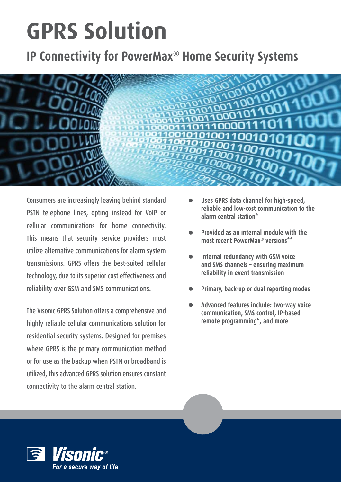# **GPRS** Solution

## **IP Connectivity for PowerMax<sup>®</sup> Home Security Systems**



Consumers are increasingly leaving behind standard PSTN telephone lines, opting instead for VoIP or cellular communications for home connectivity. This means that security service providers must utilize alternative communications for alarm system transmissions. GPRS offers the best-suited cellular technology, due to its superior cost effectiveness and reliability over GSM and SMS communications.

The Visonic GPRS Solution offers a comprehensive and highly reliable cellular communications solution for residential security systems. Designed for premises where GPRS is the primary communication method or for use as the backup when PSTN or broadband is utilized, this advanced GPRS solution ensures constant connectivity to the alarm central station.

- Uses GPRS data channel for high-speed, reliable and low-cost communication to the **\*station central alarm**
- **Provided** as an internal module with the **most recent PowerMax<sup>®</sup> versions**\*\*
- **Internal redundancy with GSM voice** and SMS channels - ensuring maximum **transmission event in reliability**
- **Primary, back-up or dual reporting modes**
- **Advanced features include: two-way voice** communication, SMS control, IP-based remote programming<sup>\*</sup>, and more